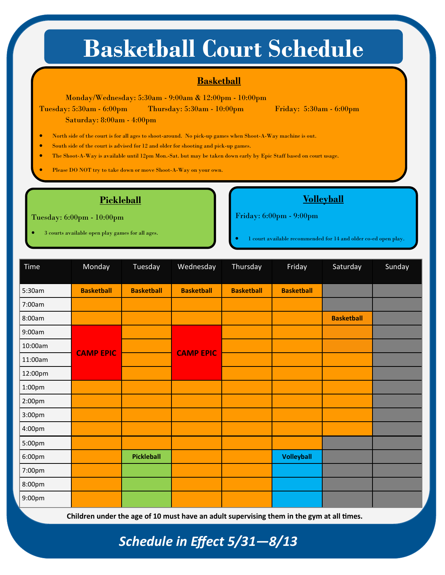# **Basketball Court Schedule**

#### **Basketball**

Monday/Wednesday: 5:30am - 9:00am & 12:00pm - 10:00pm

Tuesday: 5:30am - 6:00pm Thursday: 5:30am - 10:00pm Friday: 5:30am - 6:00pm Saturday: 8:00am - 4:00pm

• North side of the court is for all ages to shoot-around. No pick-up games when Shoot-A-Way machine is out.

• South side of the court is advised for 12 and older for shooting and pick-up games.

• The Shoot-A-Way is available until 12pm Mon.-Sat. but may be taken down early by Epic Staff based on court usage.

Please DO NOT try to take down or move Shoot-A-Way on your own.

#### **Pickleball**

Tuesday: 6:00pm - 10:00pm

• 3 courts available open play games for all ages.

Friday: 6:00pm - 9:00pm

• 1 court available recommended for 14 and older co-ed open play.

| Time               | Monday            | Tuesday           | Wednesday         | Thursday          | Friday            | Saturday          | Sunday |
|--------------------|-------------------|-------------------|-------------------|-------------------|-------------------|-------------------|--------|
| 5:30am             | <b>Basketball</b> | <b>Basketball</b> | <b>Basketball</b> | <b>Basketball</b> | <b>Basketball</b> |                   |        |
| 7:00am             |                   |                   |                   |                   |                   |                   |        |
| 8:00am             |                   |                   |                   |                   |                   | <b>Basketball</b> |        |
| 9:00am             |                   |                   |                   |                   |                   |                   |        |
| 10:00am            | <b>CAMP EPIC</b>  |                   | <b>CAMP EPIC</b>  |                   |                   |                   |        |
| 11:00am            |                   |                   |                   |                   |                   |                   |        |
| 12:00pm            |                   |                   |                   |                   |                   |                   |        |
| 1:00pm             |                   |                   |                   |                   |                   |                   |        |
| 2:00pm             |                   |                   |                   |                   |                   |                   |        |
| 3:00 <sub>pm</sub> |                   |                   |                   |                   |                   |                   |        |
| 4:00pm             |                   |                   |                   |                   |                   |                   |        |
| 5:00pm             |                   |                   |                   |                   |                   |                   |        |
| 6:00pm             |                   | Pickleball        |                   |                   | Volleyball        |                   |        |
| 7:00pm             |                   |                   |                   |                   |                   |                   |        |
| 8:00pm             |                   |                   |                   |                   |                   |                   |        |
| 9:00pm             |                   |                   |                   |                   |                   |                   |        |

**Children under the age of 10 must have an adult supervising them in the gym at all times.**

### *Schedule in Effect 5/31—8/13*

## **Volleyball**